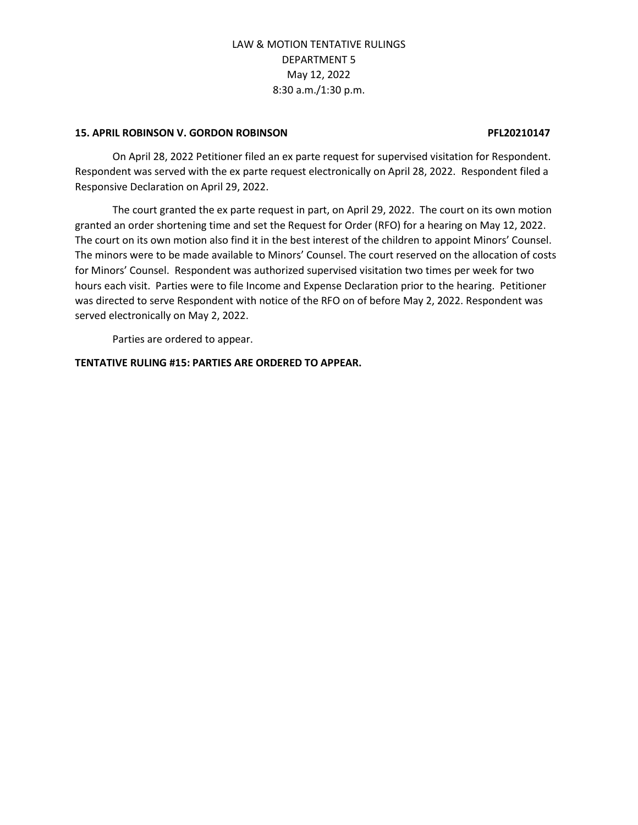## **15. APRIL ROBINSON V. GORDON ROBINSON PFL20210147**

On April 28, 2022 Petitioner filed an ex parte request for supervised visitation for Respondent. Respondent was served with the ex parte request electronically on April 28, 2022. Respondent filed a Responsive Declaration on April 29, 2022.

The court granted the ex parte request in part, on April 29, 2022. The court on its own motion granted an order shortening time and set the Request for Order (RFO) for a hearing on May 12, 2022. The court on its own motion also find it in the best interest of the children to appoint Minors' Counsel. The minors were to be made available to Minors' Counsel. The court reserved on the allocation of costs for Minors' Counsel. Respondent was authorized supervised visitation two times per week for two hours each visit. Parties were to file Income and Expense Declaration prior to the hearing. Petitioner was directed to serve Respondent with notice of the RFO on of before May 2, 2022. Respondent was served electronically on May 2, 2022.

Parties are ordered to appear.

## **TENTATIVE RULING #15: PARTIES ARE ORDERED TO APPEAR.**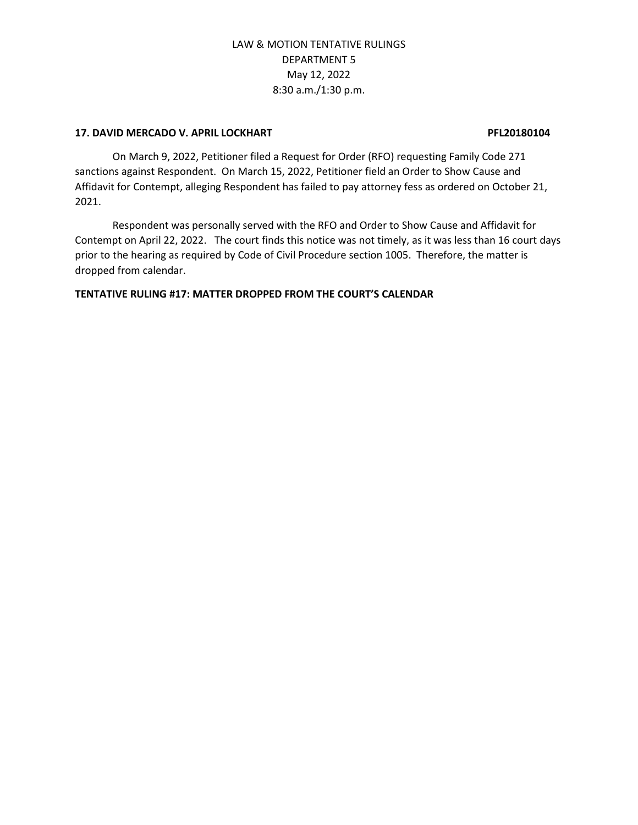## **17. DAVID MERCADO V. APRIL LOCKHART PFL20180104**

On March 9, 2022, Petitioner filed a Request for Order (RFO) requesting Family Code 271 sanctions against Respondent. On March 15, 2022, Petitioner field an Order to Show Cause and Affidavit for Contempt, alleging Respondent has failed to pay attorney fess as ordered on October 21, 2021.

Respondent was personally served with the RFO and Order to Show Cause and Affidavit for Contempt on April 22, 2022. The court finds this notice was not timely, as it was less than 16 court days prior to the hearing as required by Code of Civil Procedure section 1005. Therefore, the matter is dropped from calendar.

## **TENTATIVE RULING #17: MATTER DROPPED FROM THE COURT'S CALENDAR**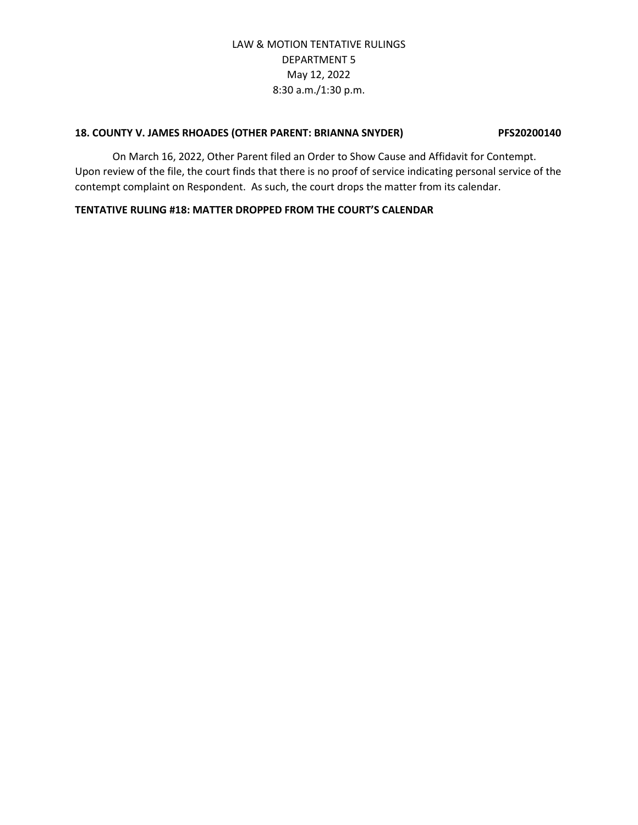## **18. COUNTY V. JAMES RHOADES (OTHER PARENT: BRIANNA SNYDER) PFS20200140**

On March 16, 2022, Other Parent filed an Order to Show Cause and Affidavit for Contempt. Upon review of the file, the court finds that there is no proof of service indicating personal service of the contempt complaint on Respondent. As such, the court drops the matter from its calendar.

## **TENTATIVE RULING #18: MATTER DROPPED FROM THE COURT'S CALENDAR**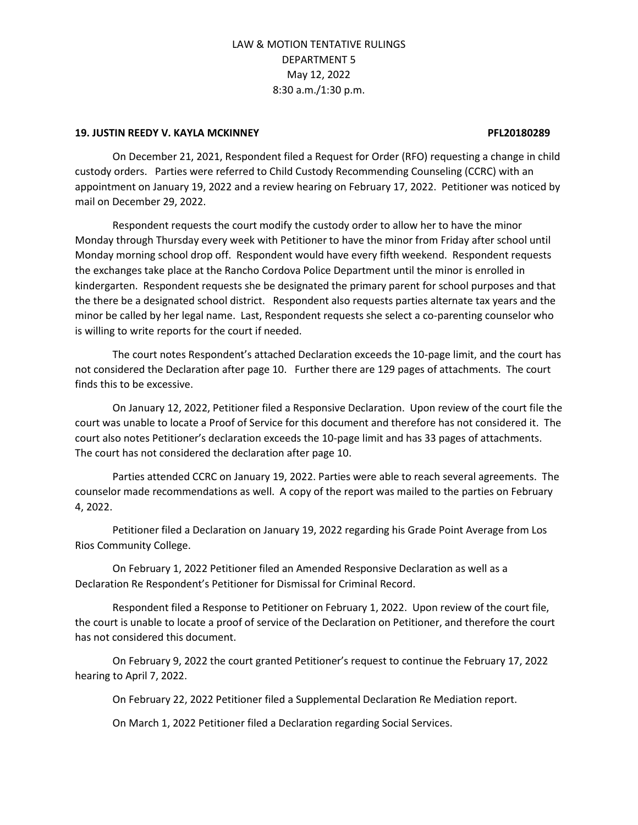### **19. JUSTIN REEDY V. KAYLA MCKINNEY PFL20180289**

On December 21, 2021, Respondent filed a Request for Order (RFO) requesting a change in child custody orders. Parties were referred to Child Custody Recommending Counseling (CCRC) with an appointment on January 19, 2022 and a review hearing on February 17, 2022. Petitioner was noticed by mail on December 29, 2022.

Respondent requests the court modify the custody order to allow her to have the minor Monday through Thursday every week with Petitioner to have the minor from Friday after school until Monday morning school drop off. Respondent would have every fifth weekend. Respondent requests the exchanges take place at the Rancho Cordova Police Department until the minor is enrolled in kindergarten. Respondent requests she be designated the primary parent for school purposes and that the there be a designated school district. Respondent also requests parties alternate tax years and the minor be called by her legal name. Last, Respondent requests she select a co-parenting counselor who is willing to write reports for the court if needed.

The court notes Respondent's attached Declaration exceeds the 10-page limit, and the court has not considered the Declaration after page 10. Further there are 129 pages of attachments. The court finds this to be excessive.

On January 12, 2022, Petitioner filed a Responsive Declaration. Upon review of the court file the court was unable to locate a Proof of Service for this document and therefore has not considered it. The court also notes Petitioner's declaration exceeds the 10-page limit and has 33 pages of attachments. The court has not considered the declaration after page 10.

Parties attended CCRC on January 19, 2022. Parties were able to reach several agreements. The counselor made recommendations as well. A copy of the report was mailed to the parties on February 4, 2022.

Petitioner filed a Declaration on January 19, 2022 regarding his Grade Point Average from Los Rios Community College.

On February 1, 2022 Petitioner filed an Amended Responsive Declaration as well as a Declaration Re Respondent's Petitioner for Dismissal for Criminal Record.

Respondent filed a Response to Petitioner on February 1, 2022. Upon review of the court file, the court is unable to locate a proof of service of the Declaration on Petitioner, and therefore the court has not considered this document.

On February 9, 2022 the court granted Petitioner's request to continue the February 17, 2022 hearing to April 7, 2022.

On February 22, 2022 Petitioner filed a Supplemental Declaration Re Mediation report.

On March 1, 2022 Petitioner filed a Declaration regarding Social Services.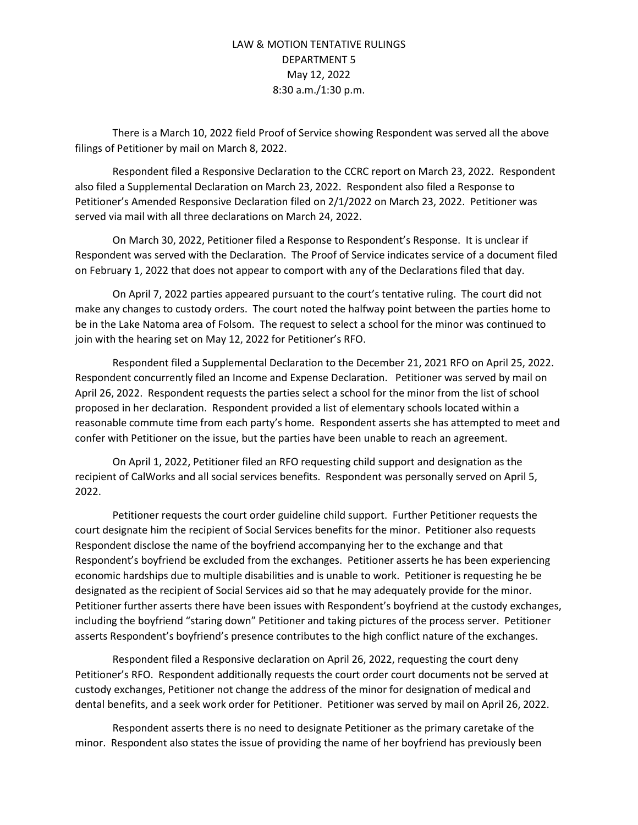There is a March 10, 2022 field Proof of Service showing Respondent was served all the above filings of Petitioner by mail on March 8, 2022.

Respondent filed a Responsive Declaration to the CCRC report on March 23, 2022. Respondent also filed a Supplemental Declaration on March 23, 2022. Respondent also filed a Response to Petitioner's Amended Responsive Declaration filed on 2/1/2022 on March 23, 2022. Petitioner was served via mail with all three declarations on March 24, 2022.

On March 30, 2022, Petitioner filed a Response to Respondent's Response. It is unclear if Respondent was served with the Declaration. The Proof of Service indicates service of a document filed on February 1, 2022 that does not appear to comport with any of the Declarations filed that day.

On April 7, 2022 parties appeared pursuant to the court's tentative ruling. The court did not make any changes to custody orders. The court noted the halfway point between the parties home to be in the Lake Natoma area of Folsom. The request to select a school for the minor was continued to join with the hearing set on May 12, 2022 for Petitioner's RFO.

Respondent filed a Supplemental Declaration to the December 21, 2021 RFO on April 25, 2022. Respondent concurrently filed an Income and Expense Declaration. Petitioner was served by mail on April 26, 2022. Respondent requests the parties select a school for the minor from the list of school proposed in her declaration. Respondent provided a list of elementary schools located within a reasonable commute time from each party's home. Respondent asserts she has attempted to meet and confer with Petitioner on the issue, but the parties have been unable to reach an agreement.

On April 1, 2022, Petitioner filed an RFO requesting child support and designation as the recipient of CalWorks and all social services benefits. Respondent was personally served on April 5, 2022.

Petitioner requests the court order guideline child support. Further Petitioner requests the court designate him the recipient of Social Services benefits for the minor. Petitioner also requests Respondent disclose the name of the boyfriend accompanying her to the exchange and that Respondent's boyfriend be excluded from the exchanges. Petitioner asserts he has been experiencing economic hardships due to multiple disabilities and is unable to work. Petitioner is requesting he be designated as the recipient of Social Services aid so that he may adequately provide for the minor. Petitioner further asserts there have been issues with Respondent's boyfriend at the custody exchanges, including the boyfriend "staring down" Petitioner and taking pictures of the process server. Petitioner asserts Respondent's boyfriend's presence contributes to the high conflict nature of the exchanges.

Respondent filed a Responsive declaration on April 26, 2022, requesting the court deny Petitioner's RFO. Respondent additionally requests the court order court documents not be served at custody exchanges, Petitioner not change the address of the minor for designation of medical and dental benefits, and a seek work order for Petitioner. Petitioner was served by mail on April 26, 2022.

Respondent asserts there is no need to designate Petitioner as the primary caretake of the minor. Respondent also states the issue of providing the name of her boyfriend has previously been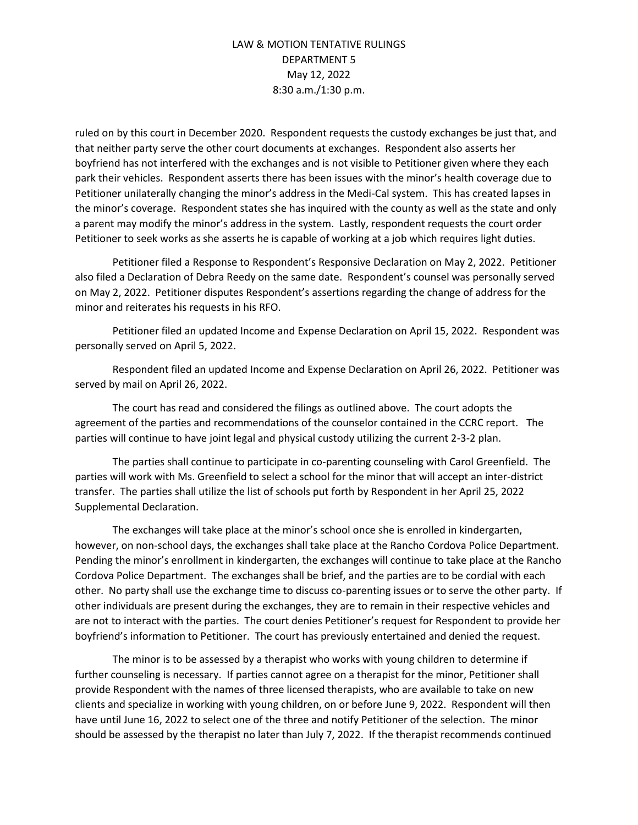ruled on by this court in December 2020. Respondent requests the custody exchanges be just that, and that neither party serve the other court documents at exchanges. Respondent also asserts her boyfriend has not interfered with the exchanges and is not visible to Petitioner given where they each park their vehicles. Respondent asserts there has been issues with the minor's health coverage due to Petitioner unilaterally changing the minor's address in the Medi-Cal system. This has created lapses in the minor's coverage. Respondent states she has inquired with the county as well as the state and only a parent may modify the minor's address in the system. Lastly, respondent requests the court order Petitioner to seek works as she asserts he is capable of working at a job which requires light duties.

Petitioner filed a Response to Respondent's Responsive Declaration on May 2, 2022. Petitioner also filed a Declaration of Debra Reedy on the same date. Respondent's counsel was personally served on May 2, 2022. Petitioner disputes Respondent's assertions regarding the change of address for the minor and reiterates his requests in his RFO.

Petitioner filed an updated Income and Expense Declaration on April 15, 2022. Respondent was personally served on April 5, 2022.

Respondent filed an updated Income and Expense Declaration on April 26, 2022. Petitioner was served by mail on April 26, 2022.

The court has read and considered the filings as outlined above. The court adopts the agreement of the parties and recommendations of the counselor contained in the CCRC report. The parties will continue to have joint legal and physical custody utilizing the current 2-3-2 plan.

The parties shall continue to participate in co-parenting counseling with Carol Greenfield. The parties will work with Ms. Greenfield to select a school for the minor that will accept an inter-district transfer. The parties shall utilize the list of schools put forth by Respondent in her April 25, 2022 Supplemental Declaration.

The exchanges will take place at the minor's school once she is enrolled in kindergarten, however, on non-school days, the exchanges shall take place at the Rancho Cordova Police Department. Pending the minor's enrollment in kindergarten, the exchanges will continue to take place at the Rancho Cordova Police Department. The exchanges shall be brief, and the parties are to be cordial with each other. No party shall use the exchange time to discuss co-parenting issues or to serve the other party. If other individuals are present during the exchanges, they are to remain in their respective vehicles and are not to interact with the parties. The court denies Petitioner's request for Respondent to provide her boyfriend's information to Petitioner. The court has previously entertained and denied the request.

The minor is to be assessed by a therapist who works with young children to determine if further counseling is necessary. If parties cannot agree on a therapist for the minor, Petitioner shall provide Respondent with the names of three licensed therapists, who are available to take on new clients and specialize in working with young children, on or before June 9, 2022. Respondent will then have until June 16, 2022 to select one of the three and notify Petitioner of the selection. The minor should be assessed by the therapist no later than July 7, 2022. If the therapist recommends continued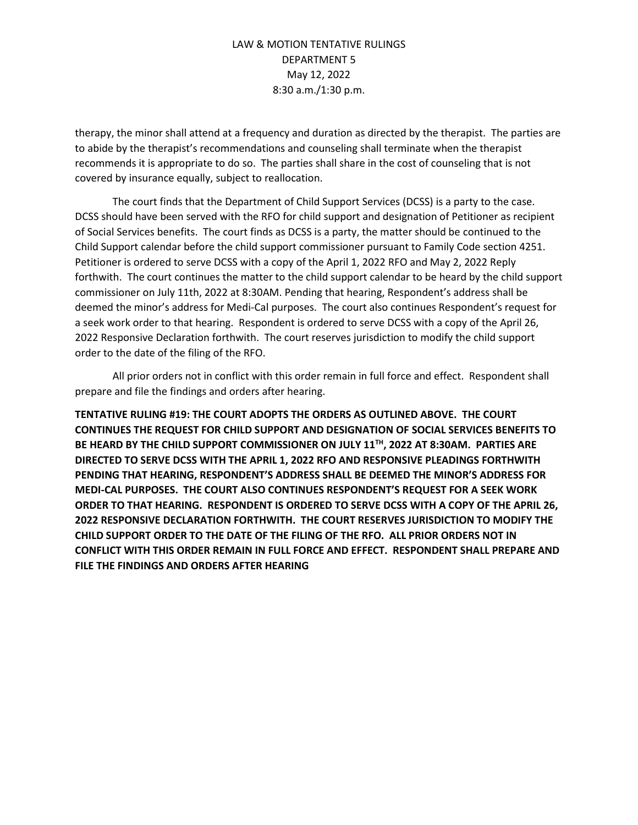therapy, the minor shall attend at a frequency and duration as directed by the therapist. The parties are to abide by the therapist's recommendations and counseling shall terminate when the therapist recommends it is appropriate to do so. The parties shall share in the cost of counseling that is not covered by insurance equally, subject to reallocation.

The court finds that the Department of Child Support Services (DCSS) is a party to the case. DCSS should have been served with the RFO for child support and designation of Petitioner as recipient of Social Services benefits. The court finds as DCSS is a party, the matter should be continued to the Child Support calendar before the child support commissioner pursuant to Family Code section 4251. Petitioner is ordered to serve DCSS with a copy of the April 1, 2022 RFO and May 2, 2022 Reply forthwith. The court continues the matter to the child support calendar to be heard by the child support commissioner on July 11th, 2022 at 8:30AM. Pending that hearing, Respondent's address shall be deemed the minor's address for Medi-Cal purposes. The court also continues Respondent's request for a seek work order to that hearing. Respondent is ordered to serve DCSS with a copy of the April 26, 2022 Responsive Declaration forthwith. The court reserves jurisdiction to modify the child support order to the date of the filing of the RFO.

All prior orders not in conflict with this order remain in full force and effect. Respondent shall prepare and file the findings and orders after hearing.

**TENTATIVE RULING #19: THE COURT ADOPTS THE ORDERS AS OUTLINED ABOVE. THE COURT CONTINUES THE REQUEST FOR CHILD SUPPORT AND DESIGNATION OF SOCIAL SERVICES BENEFITS TO BE HEARD BY THE CHILD SUPPORT COMMISSIONER ON JULY 11TH, 2022 AT 8:30AM. PARTIES ARE DIRECTED TO SERVE DCSS WITH THE APRIL 1, 2022 RFO AND RESPONSIVE PLEADINGS FORTHWITH PENDING THAT HEARING, RESPONDENT'S ADDRESS SHALL BE DEEMED THE MINOR'S ADDRESS FOR MEDI-CAL PURPOSES. THE COURT ALSO CONTINUES RESPONDENT'S REQUEST FOR A SEEK WORK ORDER TO THAT HEARING. RESPONDENT IS ORDERED TO SERVE DCSS WITH A COPY OF THE APRIL 26, 2022 RESPONSIVE DECLARATION FORTHWITH. THE COURT RESERVES JURISDICTION TO MODIFY THE CHILD SUPPORT ORDER TO THE DATE OF THE FILING OF THE RFO. ALL PRIOR ORDERS NOT IN CONFLICT WITH THIS ORDER REMAIN IN FULL FORCE AND EFFECT. RESPONDENT SHALL PREPARE AND FILE THE FINDINGS AND ORDERS AFTER HEARING**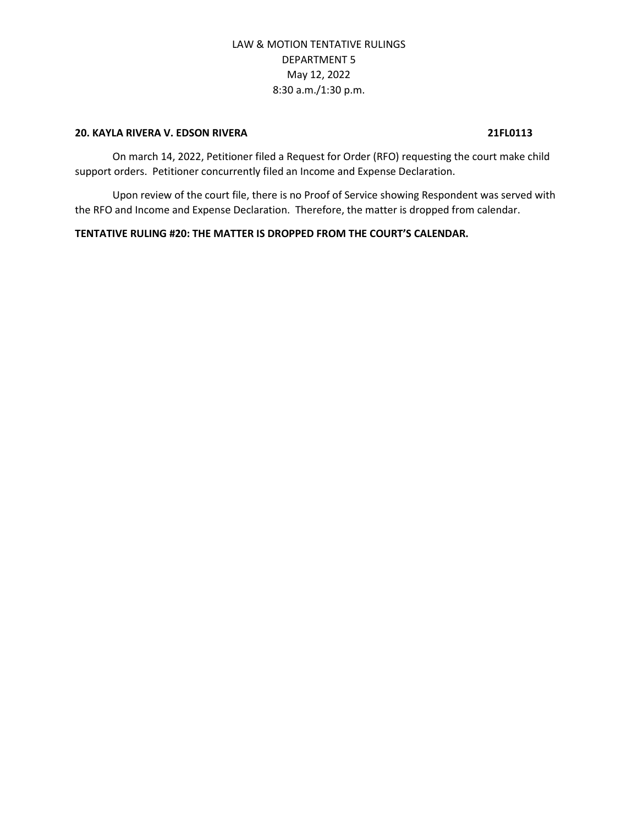### **20. KAYLA RIVERA V. EDSON RIVERA 21FL0113**

On march 14, 2022, Petitioner filed a Request for Order (RFO) requesting the court make child support orders. Petitioner concurrently filed an Income and Expense Declaration.

Upon review of the court file, there is no Proof of Service showing Respondent was served with the RFO and Income and Expense Declaration. Therefore, the matter is dropped from calendar.

#### **TENTATIVE RULING #20: THE MATTER IS DROPPED FROM THE COURT'S CALENDAR.**